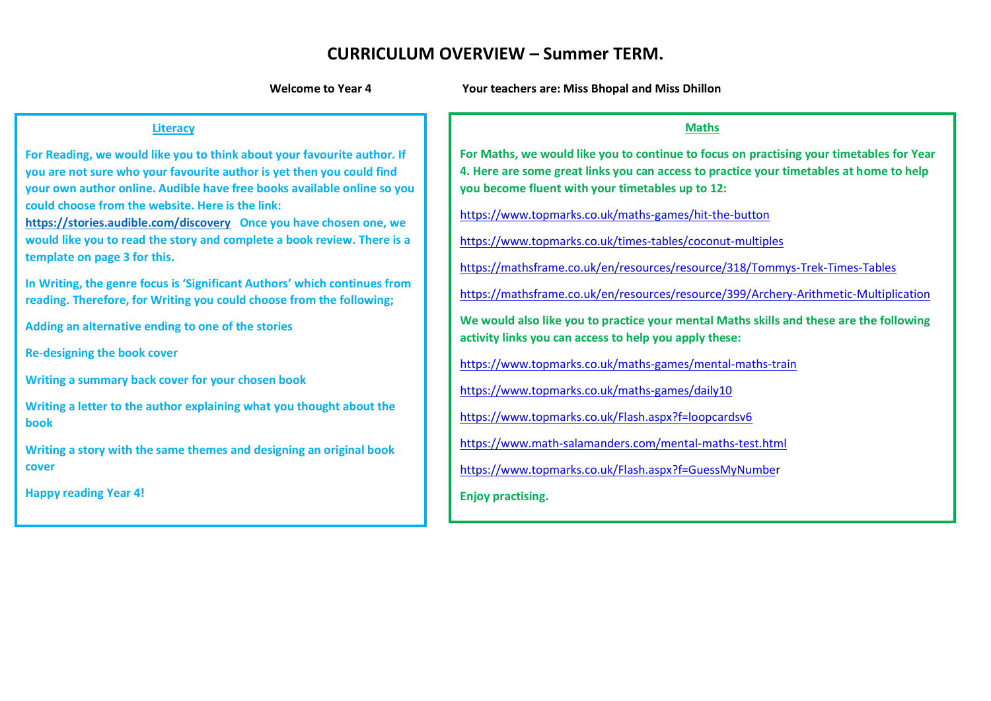# **CURRICULUM OVERVIEW – Summer TERM.**

**Welcome to Year 4 Your teachers are: Miss Bhopal and Miss Dhillon**

#### **Literacy**

**For Reading, we would like you to think about your favourite author. If you are not sure who your favourite author is yet then you could find your own author online. Audible have free books available online so you could choose from the website. Here is the link:** 

**<https://stories.audible.com/discovery>Once you have chosen one, we would like you to read the story and complete a book review. There is a template on page 3 for this.**

**In Writing, the genre focus is 'Significant Authors' which continues from reading. Therefore, for Writing you could choose from the following;**

**Adding an alternative ending to one of the stories** 

**Re-designing the book cover**

**Writing a summary back cover for your chosen book**

**Writing a letter to the author explaining what you thought about the book**

**Writing a story with the same themes and designing an original book cover**

**Happy reading Year 4!**

#### **Maths**

**For Maths, we would like you to continue to focus on practising your timetables for Year 4. Here are some great links you can access to practice your timetables at home to help you become fluent with your timetables up to 12:**

<https://www.topmarks.co.uk/maths-games/hit-the-button>

<https://www.topmarks.co.uk/times-tables/coconut-multiples>

<https://mathsframe.co.uk/en/resources/resource/318/Tommys-Trek-Times-Tables>

<https://mathsframe.co.uk/en/resources/resource/399/Archery-Arithmetic-Multiplication>

**We would also like you to practice your mental Maths skills and these are the following activity links you can access to help you apply these:**

<https://www.topmarks.co.uk/maths-games/mental-maths-train>

<https://www.topmarks.co.uk/maths-games/daily10>

<https://www.topmarks.co.uk/Flash.aspx?f=loopcardsv6>

<https://www.math-salamanders.com/mental-maths-test.html>

[https://www.topmarks.co.uk/Flash.aspx?f=GuessMyNumber](https://www.topmarks.co.uk/Flash.aspx?f=GuessMyNumbe)

**Enjoy practising.**